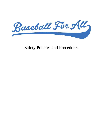

Safety Policies and Procedures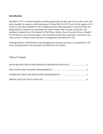# **Introduction**

Baseball For All is a national nonprofit providing opportunities for girls, ages 6-18, to play, coach, and lead in baseball. In response to the formalization of Senate Bill 534 (2017), and with the support of U.S. Center for Safe Sport, Baseball For All is implementing the following policies for the prevention and administration of instances of sexual abuse and violent crimes within our sport, nationwide. This handbook is adopted from USA Baseball's BASE Minor Athlete Abuse Prevention Policies. Baseball For All enforces a zero-tolerance policy. Any individual who has been suspected or convicted of any crimes sexual or violent in nature will have no engagement with Baseball For All.

Working Definition: PROGRAM is used throughout this document and refers to all Baseball For All teams and organizations who participate in Baseball For All activities.

# Table of Contents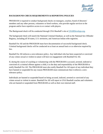

# **BACKGROUND CHECK REQUIREMENTS & REPORTING POLICIES**

PROGRAM is required to conduct background checks on managers, coaches, board of directors' members and any other persons, volunteers or hired workers, who provide regular services to the program and/or have repetitive access to or contact with players.

The Background check will be conducted through USA Baseball's site at [USABDevelops.org.](http://usabdevelops.org/)

The background check will search the National Criminal Database, as well as the National Sex Offender Registry, including all 50 states, U.S. territories, and American Indian tribe registries.

Baseball For All and the PROGRAM must have documentation of successful background check. Criminal background checks will be conducted on at least an annual basis or as otherwise required by law.

Baseball For All enforces a zero-tolerance policy. Any individual who has been suspected or convicted of any crimes sexual or violent in nature will have no engagement with Baseball For All.

If, during the course of coaching or volunteering with the PROGRAM is accused, arrested, indicted or convicted of a criminal offense against a child, it is the duty and responsibility of the PROGRAM to notify Baseball For All. The PROGRAM must also notify Baseball For All report of any individual they have banned or suspended for any reason PROGRAM must communicate that it enforces a zerotolerance policy.

Individuals are banned or suspended based on being accused, indicted, arrested or convicted of any crimes sexual or violent in nature. Baseball For All will report to USA Baseball coaches and volunteers who are banned or suspended from PROGRAM as well as their own internal staff.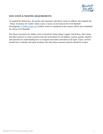

# **EDUCATION & TRAINING REQUIREMENTS**

As required by federal law, all coaches and volunteers with direct contact to athletes will complete the "Abuse Awareness for Adults" online course. Course can be found on the USA Baseball Development [USABDevelops.com](http://usabdevelops.com/) website. Proof of completion of the courses will be sent to Baseball For All by USA Baseball.

The Abuse Awareness for Adults course is hosted by former Major Leaguer, David Ross. The Course provides resources to create a positive and safe environment for all athletes, coaches, parents, umpires, and spectators by understanding how to recognize misconduct and abuse of all types. Topics covered include how to identify and report incidents and what abuse awareness policies should be in place.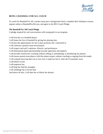

# **BEING A BASEBALL FOR ALL COACH**

To coach for Baseball For All, coaches must pass a background check, complete their SafeSport courses, register online at BaseballForAll.com, and agree to the BFA Coach Pledge.

# **The Baseball For All Coach Pledge**

A pledge inspired by real conversations with young girls in our program.

I will treat her as a baseball player.

I will honor her love of baseball by giving her playing time.

I will provide opportunities for her to play positions she's interested in.

I will cultivate a positive team environment.

I will respect each girl's opinions, lifestyle, and preferences.

I will demonstrate good sportsmanship towards opponents and umpires.

I will provide constructive coaching without yelling at, intimidating, or humiliating my players.

I will ensure parents treat players with the utmost respect without coaching or arguing from the stands.

I will compete knowing that win or lose, how I made her feel is what she'll remember most.

I will believe in her.

I will empower her.

I will help her find her strengths.

I will challenge her to be her best.

And above all else, I will dare her to follow her dreams.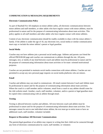

## **COMMUNICATION & MESSAGING REQUIREMENTS**

#### **Electronic Communication Policy**

As part of Baseball For All emphasis on minor athlete safety, all electronic communications between minor athletes and staff members, or other adults who have regular contact with minor athletes, must be professional in nature and for the purpose of communicating information about team activities. This policy applies to all staff members and other adults who have regular contact with minor athletes.

Content of any electronic communication should be readily available to share with the minor athlete's family. If the athlete is under the age of 18, any electronic text, social media or similar communication must copy or include the minor athlete's parent or legal guardian.

#### **Social Media**

Coaches may not have athletes join a personal social media page. Athletes and parents can friend the official PROGRAM page and coaches can communicate to athletes through the site. All posts, messages, text, or media of any kind between coach and athlete must be professional in nature and for the purpose of communicating information about team activities or for team- oriented motivational purposes.

Coaches are not permitted to maintain social media connections with minor athletes. Coaches are not permitted to accept any new personal page requests on social media platforms who are minors.

#### **Email**

Coaches and athletes may use email to communicate. All email content between Coach and Athlete must be professional in nature and for the purpose of communicating information about team activities. Where the coach is a staff member and/or volunteer, email from a coach to any athlete should come for the club website email. Another, coach, staff member, volunteer, and/or a parent or legal guardian must be copied when communicating with an athlete through email.

#### **Texting**

Texting is allowed between coaches and athletes. All texts between coach and athlete must be professional in nature and for the purpose of communicating information about team activities. Text messages cannot be sent to one individual minor athlete; the text must go to entire team or have an additional coach, staff member, volunteer included.

#### **Request to Discontinue All Electronic Communications**

The parents/legal guardians of an athlete may request in writing that their child not be contacted through any form of electronic communication by coach, staff member, or volunteer.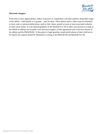

## **Electronic Imagery**

From time to time, digital photos, videos of practice or competition, and other publicly obtainable image of the athlete – individually or in groups – may be taken. These photos and/or videos may be submitted to local, state or national publications, used in club videos, posted on team or team associated websites, or team social media. It is the default guideline of the Baseball For All to allow such practices as long as the athlete or athletes are in public view and such imagery is both appropriate and in the best interest of the athlete and the PROGRAM. If the parent or legal guardian would prefer photos of their child not to be shared, this request should be submitted in writing to the PROGRAM and Baseball For All.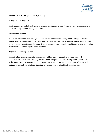

# **MINOR ATHLETE SAFETY POLICIES**

#### **Athlete-Coach Interaction**

Athletes must not be left unattended or unsupervised during events. When one-on-one interactions are necessary, they must be closely monitored.

### **Monitoring Athletes**

Adults are prohibited from being alone with an individual athlete in any room, facility, or vehicle. Interactions between adults and athletes must be easily observed and at an interruptible distance from another adult. Exceptions can be made if it's an emergency or the adult has obtained written permission from the minor athlete's parent/legal guardian.

#### **Individual Training Session**

An individual training session(s) with a minor athlete may be desired or necessary. In such circumstances, the athlete's training session should be open and observable by others. Additionally, written permission of a minor athlete's parent/legal guardian is required in advance of the individual training session(s). Parents/legal guardians are encouraged to attend the training session.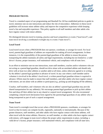

## **PROGRAM TRAVEL**

Travel is a standard aspect of our programming and Baseball For All has established policies to guide its travel, minimize one-on-one interactions and reduce the risk of misconduct. Adherence to these travel guidelines will increase minor athlete safety and improve the competitive experience while keeping travel a fun and enjoyable experience. This policy applies to all staff members and other adults who have regular contact with minor athletes.

We distinguish between travel to training, practice and local competition or events ("local travel"), and team travel involving a coordinated overnight stay to events ("team travel").

## **Local Travel**

Local travel occurs when a PROGRAM does not sponsor, coordinate, or arrange for travel. For local travel, parents/legal guardians of athletes are responsible for making all travel arrangements. In these instances, it is the responsibility of the parents/legal guardians of the athlete to ensure the person transporting the athlete maintains all safety and legal requirements, including but not limited to: a valid driver's license, proper insurance, well maintained vehicle, and compliance with all state laws.

In an effort to minimize one-on-one interactions, team staff members, coaches and/or volunteers who are not acting as a parent/legal guardian, should not drive alone with an unrelated athlete and should only drive with at least two other athletes or another adult at all times, unless otherwise agreed to in writing by the athlete's parent/legal guardian in advance of travel. In any case where a staff member and/or volunteer is involved in the athlete's local travel, a written parent/legal guardian release is required in advance. Efforts must be made to ensure that staff members, and other adults who have regular contact with minors, are not alone with an athlete or participant (e.g., picking up and dropping off the athletes).

Coaches, staff members, and volunteers who are also an athlete's parent/legal guardian may provide shared transportation for any athlete(s). We encourage parents/legal guardians to pick up their athlete first and drop off their athlete last in any shared or carpool travel arrangement. We also recommend completing a shared travel declaration form signed by the parents/legal guardians of any athlete who is being transported as part of such a carpool arrangement.

#### **Team Travel**

Team travel is overnight travel that occurs when a PROGRAM sponsors, coordinates, or arranges for travel so that its teams can compete locally, regionally, nationally or internationally. Because of the greater distances, staff members, and other adults who have regular contact with minor athletes, will often travel with the minor athletes. However, no staff member, or other adults who have regular contact with minors, will engage in team travel without the proper safety requirements in place, including: a valid driver's license, proper insurance, well maintained vehicle, and compliance with all state laws.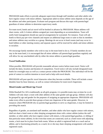

PROGRAM make efforts to provide adequate supervision through staff members and other adults who have regular contact with minor athletes. Appropriate adult-to-minor athlete ratios depends on the age of the athletes and other participants. Evaluate each program and discuss this topic with parents/legal guardians of minor athletes to determine supervisory needs.

For team travel, hotels and air travel will be booked in advance by PROGRAM. Minor athletes will share rooms, with 2-4 minor athletes assigned per room depending on accommodations. Team will notify hotel management should any special arrangements be warranted. For instance, Team will ask hotels to block pay-per-view channels and request an additional large room or suite so that its members and minor athletes may socialize as a group. Meetings do not occur in hotel rooms (and may occur in hotel lobbies or other meeting rooms), and separate spaces will be reserved for adults and minor athletes to socialize.

We encourage family members who wish to stay in the team hotel to do so. If family members do not stay in the team hotel, it is encouraged that all minor athletes call parents/legal guardians regularly and will allow for any unscheduled calls by either the minor athlete or parent/legal guardian.

## **Travel Notification**

When possible, PROGRAM will provide reasonable advance notice before team travel. Notice will include the dates, location and duration of competition. Travel notice will also include designated team hotels for overnight stays as well as a contact person within the PROGRAM. This individual will be the point of contact to confirm intention to travel and to help with travel details.

PROGRAM will post specific travel itineraries when they become available. These will include a more detailed, hour-by-hour itinerary, as well as contact information for team travel chaperones.

#### **Mixed-Gender and Mixed-Age Travel**

While Baseball For All is traditionally an all-girls program, it is possible teams may at-times be co-ed. Athletes will only share a room with other athletes of the same gender and age group. Athletes will also be grouped by age and gender for the purposes of assigning an appropriate chaperone. PROGRAM will make every effort to provide these groups at least one chaperone of the same gender. However, in instances where PROGRAM rely on parents/legal guardians to serve as chaperones, it may be limited in providing this match.

Regardless of gender, an unrelated staff member, and other adults who have regular contact with minors, shall not share a hotel room or other sleeping arrangement alone with a minor athlete (unless the staff member, or other adults who have regular contact with minors, is the parent/legal guardian, or sibling of that particular minor athlete). In the event that rooms are connected, such as a hotel room with adjoining rooms, a lock must be in place from both rooms. Where an adult is registered both as a coach and an athlete, and is functioning primarily as a coach, he or she may share sleeping arrangements with another registered coach.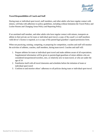

## **Travel Responsibilities of Coach and Staff**

During team or individual sport travel, staff members, and other adults who have regular contact with minors, will help with adherence to policy guidelines, including without limitation the Travel Policy and Locker Rooms and Changing Areas Policy and Reporting Policy.

If an unrelated staff member, and other adults who have regular contact with minors, transports an athlete in their private car for team or individual sport travel, a copy of the coach's or staff members valid driver's license is required, as is a copy of the parent/legal guardian's signed permission form.

When not practicing, training, competing, or preparing for competition, coaches and staff will monitor the activities of athletes, coaches, staff members, during team travel. Coaches and staff will:

- 1. Prepare athletes for team or individual sport travel and make athletes aware of all expectations. Supplemental information will be given to parents/legal guardians of minor athletes who are considered inexperienced travelers, new, or relatively new to team travel, or who are under the age of 14
- 2. Familiarize itself with all travel itineraries and schedules before the initiation of team or individual sport travel
- 3. Conform to and monitor others' adherence to all policies during team or individual sport travel.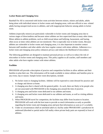

# **Locker Room and Changing Area**

Baseball For All is concerned with locker room activities between minors, minors and adults, adults being alone with individual minors in locker rooms and changing areas, with non-official or non- related adults having unsupervised access to athletes, and with inappropriate behavior among adults in locker room.

Athletes (especially minors) are particularly vulnerable in locker rooms and changing areas due to various stages of dress/undress and because minor athletes are less supervised than at many other times. Minor athlete-to-athlete problems, such as child sexual abuse and bullying, harassment, and hazing, often occur at times when athletes are not monitored. This is especially true in locker rooms. Because athletes are vulnerable in locker rooms and changing areas, it is also important to monitor contact between staff members and other adults who have regular contact with minor athletes. Adherence to a locker room and changing areas policy enhances privacy and reduces the likelihood of misconduct.

The following guidelines are designed to maintain personal privacy as well as to reduce the risk of misconduct in locker rooms and changing areas. This policy applies to all coaches, staff members and other adults who have regular contact with minor athletes.

## **Facilities**

PROGRAM will provide a description of practice and competition facilities to allow athletes and their families to plan their use. This information will be made available to minor athletes and families prior to any event, trip or season. Sample locker room descriptions, include:

- 1. No locker room or changing facilities. Athletes will be expected to come dressed for practice and to change and shower at home.
- 2. A changing area that is shared with the general public. As such, there are likely to be people who are not associated with PROGRAM in the changing area around the time of practice.
- 3. A changing area and locker room dedicated to our athletes and teams.
- 4. A changing area and locker room dedicated to our athletes and teams, as well as visiting athletes and teams.
- 5. When PROGRAM travel for competition, the facilities may differ from location to location. PROGRAM will work with the host team to provide as much information as early as possible regarding the locker room and changing areas and post that information as soon as it's available.
- 6. Under no circumstances shall an unrelated adult at a facility under PROGRAMS's jurisdiction be undressed (disrobed or partial and/or full nudity where private body parts are exposed) in front of athletes.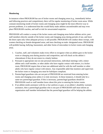

# **Monitoring**

In instances where PROGRAM has use of locker rooms and changing areas (e.g., immediately before and following practices and competitions), there will be regular monitoring of locker room areas. While constant monitoring inside of locker rooms and changing areas might be the most effective way to prevent problems, it is understood that this would likely make athletes uncomfortable and may even place PROGRAM coaches, and staff at risk for unwarranted suspicion.

PROGRAM will conduct a sweep of the locker rooms and changing areas before athletes arrive, post staff members directly outside of the locker rooms and changing areas during periods of use, and leave the doors open only when adequate privacy is still possible. PROGRAM will conduct these sweeps, with women checking on female-designated areas, and men checking on male- designated areas. PROGRAM will prohibit hazing, bullying, harassment, and other forms of misconduct in locker rooms and changing areas.

- 1. Coaches, staff, and volunteers make every effort to recognize when an athlete goes to the locker room or changing area during practice and competition, and will check on the athlete's whereabouts if they do not return in a timely fashion
- 2. Pursuant to appropriate one-on-one personal interactions, individual meetings with a minor athlete and a staff member, or other adults who have regular contact with minors, in a locker room, PROGRAM require that at least one additional adult be with the staff member or other adults who have regular contact with minors. Any responsible adult that monitors and supervises the locker room or changing area must be SafeSport compliant.
- 3. Parents/legal guardians who are not part of PROGRAM are restricted from entering locker rooms and changing areas unless it is truly necessary. In those instances, it should only be a same-sex parent/legal guardian. If this is necessary, parents/legal guardians should let PROGRAM coach or staff member know about this prior to entering the locker rooms.
- 4. If an athlete needs assistance with his or her uniform or gear, or an athlete's disability warrants assistance, then a parent/legal guardian who is not part of PROGRAM staff must inform an organization staff member beforehand that the parent/legal guardian will be helping the athlete.